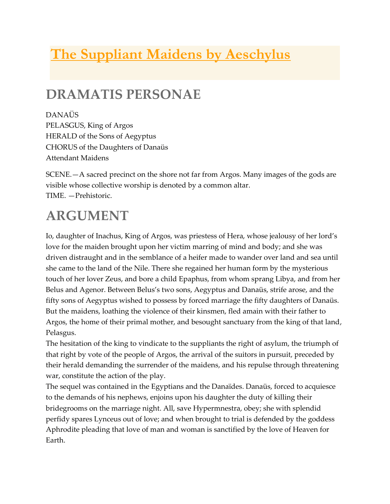# **The Suppliant Maidens by Aeschylus**

# **DRAMATIS PERSONAE**

DANAÜS PELASGUS, King of Argos HERALD of the Sons of Aegyptus CHORUS of the Daughters of Danaüs Attendant Maidens

SCENE.—A sacred precinct on the shore not far from Argos. Many images of the gods are visible whose collective worship is denoted by a common altar. TIME. —Prehistoric.

# **ARGUMENT**

Io, daughter of Inachus, King of Argos, was priestess of Hera, whose jealousy of her lord's love for the maiden brought upon her victim marring of mind and body; and she was driven distraught and in the semblance of a heifer made to wander over land and sea until she came to the land of the Nile. There she regained her human form by the mysterious touch of her lover Zeus, and bore a child Epaphus, from whom sprang Libya, and from her Belus and Agenor. Between Belus's two sons, Aegyptus and Danaüs, strife arose, and the fifty sons of Aegyptus wished to possess by forced marriage the fifty daughters of Danaüs. But the maidens, loathing the violence of their kinsmen, fled amain with their father to Argos, the home of their primal mother, and besought sanctuary from the king of that land, Pelasgus.

The hesitation of the king to vindicate to the suppliants the right of asylum, the triumph of that right by vote of the people of Argos, the arrival of the suitors in pursuit, preceded by their herald demanding the surrender of the maidens, and his repulse through threatening war, constitute the action of the play.

The sequel was contained in the Egyptians and the Danaïdes. Danaüs, forced to acquiesce to the demands of his nephews, enjoins upon his daughter the duty of killing their bridegrooms on the marriage night. All, save Hypermnestra, obey; she with splendid perfidy spares Lynceus out of love; and when brought to trial is defended by the goddess Aphrodite pleading that love of man and woman is sanctified by the love of Heaven for Earth.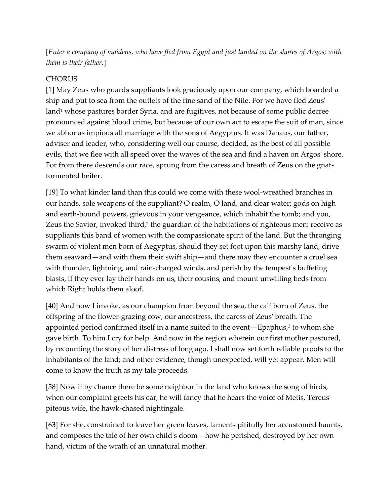[*Enter a company of maidens, who have fled from Egypt and just landed on the shores of Argos; with them is their father.*]

#### **CHORUS**

[1] May Zeus who guards suppliants look graciously upon our company, which boarded a ship and put to sea from the outlets of the fine sand of the Nile. For we have fled Zeus' land<sup>1</sup> whose pastures border Syria, and are fugitives, not because of some public decree pronounced against blood crime, but because of our own act to escape the suit of man, since we abhor as impious all marriage with the sons of Aegyptus. It was Danaus, our father, adviser and leader, who, considering well our course, decided, as the best of all possible evils, that we flee with all speed over the waves of the sea and find a haven on Argos' shore. For from there descends our race, sprung from the caress and breath of Zeus on the gnattormented heifer.

[19] To what kinder land than this could we come with these wool-wreathed branches in our hands, sole weapons of the suppliant? O realm, O land, and clear water; gods on high and earth-bound powers, grievous in your vengeance, which inhabit the tomb; and you, Zeus the Savior, invoked third, $2$  the guardian of the habitations of righteous men: receive as suppliants this band of women with the compassionate spirit of the land. But the thronging swarm of violent men born of Aegyptus, should they set foot upon this marshy land, drive them seaward—and with them their swift ship—and there may they encounter a cruel sea with thunder, lightning, and rain-charged winds, and perish by the tempest's buffeting blasts, if they ever lay their hands on us, their cousins, and mount unwilling beds from which Right holds them aloof.

[40] And now I invoke, as our champion from beyond the sea, the calf born of Zeus, the offspring of the flower-grazing cow, our ancestress, the caress of Zeus' breath. The appointed period confirmed itself in a name suited to the event  $-$  Epaphus, $3$  to whom she gave birth. To him I cry for help. And now in the region wherein our first mother pastured, by recounting the story of her distress of long ago, I shall now set forth reliable proofs to the inhabitants of the land; and other evidence, though unexpected, will yet appear. Men will come to know the truth as my tale proceeds.

[58] Now if by chance there be some neighbor in the land who knows the song of birds, when our complaint greets his ear, he will fancy that he hears the voice of Metis, Tereus' piteous wife, the hawk-chased nightingale.

[63] For she, constrained to leave her green leaves, laments pitifully her accustomed haunts, and composes the tale of her own child's doom—how he perished, destroyed by her own hand, victim of the wrath of an unnatural mother.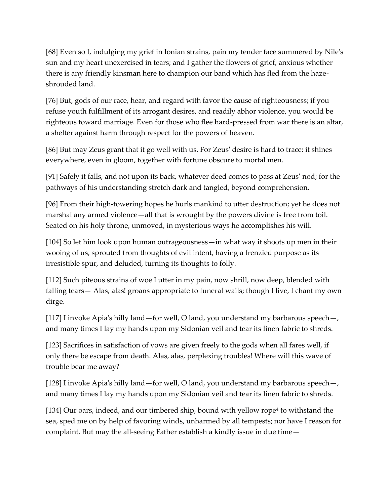[68] Even so I, indulging my grief in Ionian strains, pain my tender face summered by Nile's sun and my heart unexercised in tears; and I gather the flowers of grief, anxious whether there is any friendly kinsman here to champion our band which has fled from the haze shrouded land.

[76] But, gods of our race, hear, and regard with favor the cause of righteousness; if you refuse youth fulfillment of its arrogant desires, and readily abhor violence, you would be righteous toward marriage. Even for those who flee hard-pressed from war there is an altar, a shelter against harm through respect for the powers of heaven.

[86] But may Zeus grant that it go well with us. For Zeus' desire is hard to trace: it shines everywhere, even in gloom, together with fortune obscure to mortal men.

[91] Safely it falls, and not upon its back, whatever deed comes to pass at Zeus' nod; for the pathways of his understanding stretch dark and tangled, beyond comprehension.

[96] From their high-towering hopes he hurls mankind to utter destruction; yet he does not marshal any armed violence—all that is wrought by the powers divine is free from toil. Seated on his holy throne, unmoved, in mysterious ways he accomplishes his will.

[104] So let him look upon human outrageousness—in what way it shoots up men in their wooing of us, sprouted from thoughts of evil intent, having a frenzied purpose as its irresistible spur, and deluded, turning its thoughts to folly.

[112] Such piteous strains of woe I utter in my pain, now shrill, now deep, blended with falling tears— Alas, alas! groans appropriate to funeral wails; though I live, I chant my own dirge.

[117] I invoke Apia's hilly land—for well, O land, you understand my barbarous speech—, and many times I lay my hands upon my Sidonian veil and tear its linen fabric to shreds.

[123] Sacrifices in satisfaction of vows are given freely to the gods when all fares well, if only there be escape from death. Alas, alas, perplexing troubles! Where will this wave of trouble bear me away?

[128] I invoke Apia's hilly land—for well, O land, you understand my barbarous speech—, and many times I lay my hands upon my Sidonian veil and tear its linen fabric to shreds.

[134] Our oars, indeed, and our timbered ship, bound with yellow rope<sup>4</sup> to withstand the sea, sped me on by help of favoring winds, unharmed by all tempests; nor have I reason for complaint. But may the all-seeing Father establish a kindly issue in due time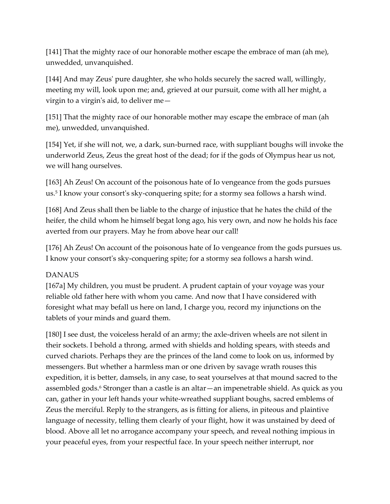[141] That the mighty race of our honorable mother escape the embrace of man (ah me), unwedded, unvanquished.

[144] And may Zeus' pure daughter, she who holds securely the sacred wall, willingly, meeting my will, look upon me; and, grieved at our pursuit, come with all her might, a virgin to a virgin's aid, to deliver me—

[151] That the mighty race of our honorable mother may escape the embrace of man (ah me), unwedded, unvanquished.

[154] Yet, if she will not, we, a dark, sun-burned race, with suppliant boughs will invoke the underworld Zeus, Zeus the great host of the dead; for if the gods of Olympus hear us not, we will hang ourselves.

[163] Ah Zeus! On account of the poisonous hate of Io vengeance from the gods pursues us.<sup>5</sup> I know your consort's sky-conquering spite; for a stormy sea follows a harsh wind.

[168] And Zeus shall then be liable to the charge of injustice that he hates the child of the heifer, the child whom he himself begat long ago, his very own, and now he holds his face averted from our prayers. May he from above hear our call!

[176] Ah Zeus! On account of the poisonous hate of Io vengeance from the gods pursues us. I know your consort's sky-conquering spite; for a stormy sea follows a harsh wind.

## DANAUS

[167a] My children, you must be prudent. A prudent captain of your voyage was your reliable old father here with whom you came. And now that I have considered with foresight what may befall us here on land, I charge you, record my injunctions on the tablets of your minds and guard them.

[180] I see dust, the voiceless herald of an army; the axle-driven wheels are not silent in their sockets. I behold a throng, armed with shields and holding spears, with steeds and curved chariots. Perhaps they are the princes of the land come to look on us, informed by messengers. But whether a harmless man or one driven by savage wrath rouses this expedition, it is better, damsels, in any case, to seat yourselves at that mound sacred to the assembled gods.<sup>6</sup> Stronger than a castle is an altar—an impenetrable shield. As quick as you can, gather in your left hands your white-wreathed suppliant boughs, sacred emblems of Zeus the merciful. Reply to the strangers, as is fitting for aliens, in piteous and plaintive language of necessity, telling them clearly of your flight, how it was unstained by deed of blood. Above all let no arrogance accompany your speech, and reveal nothing impious in your peaceful eyes, from your respectful face. In your speech neither interrupt, nor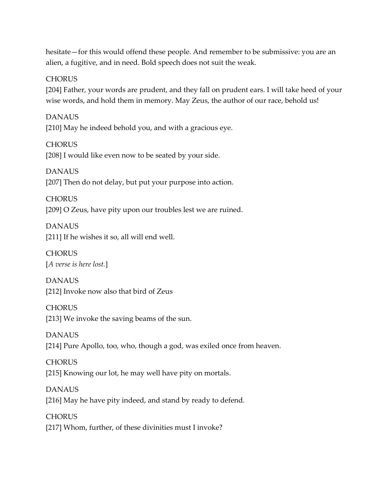hesitate—for this would offend these people. And remember to be submissive: you are an alien, a fugitive, and in need. Bold speech does not suit the weak.

#### **CHORUS**

[204] Father, your words are prudent, and they fall on prudent ears. I will take heed of your wise words, and hold them in memory. May Zeus, the author of our race, behold us!

DANAUS [210] May he indeed behold you, and with a gracious eye.

**CHORUS** [208] I would like even now to be seated by your side.

DANAUS [207] Then do not delay, but put your purpose into action.

**CHORUS** [209] O Zeus, have pity upon our troubles lest we are ruined.

DANAUS [211] If he wishes it so, all will end well.

**CHORUS** [*A verse is here lost.*]

DANAUS [212] Invoke now also that bird of Zeus

**CHORUS** [213] We invoke the saving beams of the sun.

DANAUS [214] Pure Apollo, too, who, though a god, was exiled once from heaven.

**CHORUS** [215] Knowing our lot, he may well have pity on mortals.

DANAUS [216] May he have pity indeed, and stand by ready to defend.

**CHORUS** [217] Whom, further, of these divinities must I invoke?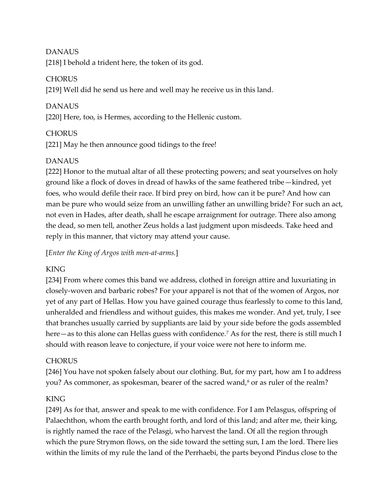#### DANAUS

[218] I behold a trident here, the token of its god.

#### **CHORUS**

[219] Well did he send us here and well may he receive us in this land.

## DANAUS

[220] Here, too, is Hermes, according to the Hellenic custom.

## **CHORUS**

[221] May he then announce good tidings to the free!

# DANAUS

[222] Honor to the mutual altar of all these protecting powers; and seat yourselves on holy ground like a flock of doves in dread of hawks of the same feathered tribe—kindred, yet foes, who would defile their race. If bird prey on bird, how can it be pure? And how can man be pure who would seize from an unwilling father an unwilling bride? For such an act, not even in Hades, after death, shall he escape arraignment for outrage. There also among the dead, so men tell, another Zeus holds a last judgment upon misdeeds. Take heed and reply in this manner, that victory may attend your cause.

[*Enter the King of Argos with men-at-arms.*]

## **KING**

[234] From where comes this band we address, clothed in foreign attire and luxuriating in closely-woven and barbaric robes? For your apparel is not that of the women of Argos, nor yet of any part of Hellas. How you have gained courage thus fearlessly to come to this land, unheralded and friendless and without guides, this makes me wonder. And yet, truly, I see that branches usually carried by suppliants are laid by your side before the gods assembled here—as to this alone can Hellas guess with confidence.<sup>7</sup> As for the rest, there is still much I should with reason leave to conjecture, if your voice were not here to inform me.

## **CHORUS**

[246] You have not spoken falsely about our clothing. But, for my part, how am I to address you? As commoner, as spokesman, bearer of the sacred wand,<sup>8</sup> or as ruler of the realm?

## KING

[249] As for that, answer and speak to me with confidence. For I am Pelasgus, offspring of Palaechthon, whom the earth brought forth, and lord of this land; and after me, their king, is rightly named the race of the Pelasgi, who harvest the land. Of all the region through which the pure Strymon flows, on the side toward the setting sun, I am the lord. There lies within the limits of my rule the land of the Perrhaebi, the parts beyond Pindus close to the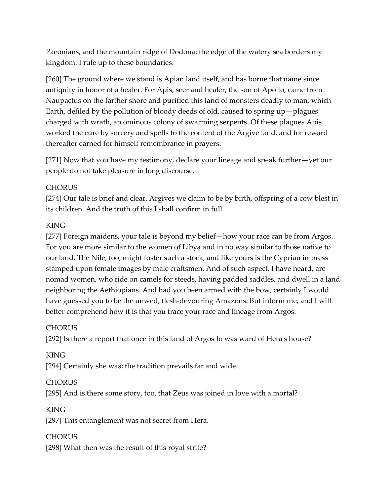Paeonians, and the mountain ridge of Dodona; the edge of the watery sea borders my kingdom. I rule up to these boundaries.

[260] The ground where we stand is Apian land itself, and has borne that name since antiquity in honor of a healer. For Apis, seer and healer, the son of Apollo, came from Naupactus on the farther shore and purified this land of monsters deadly to man, which Earth, defiled by the pollution of bloody deeds of old, caused to spring up—plagues charged with wrath, an ominous colony of swarming serpents. Of these plagues Apis worked the cure by sorcery and spells to the content of the Argive land, and for reward thereafter earned for himself remembrance in prayers.

[271] Now that you have my testimony, declare your lineage and speak further—yet our people do not take pleasure in long discourse.

#### **CHORUS**

[274] Our tale is brief and clear. Argives we claim to be by birth, offspring of a cow blest in its children. And the truth of this I shall confirm in full.

#### KING

[277] Foreign maidens, your tale is beyond my belief—how your race can be from Argos. For you are more similar to the women of Libya and in no way similar to those native to our land. The Nile, too, might foster such a stock, and like yours is the Cyprian impress stamped upon female images by male craftsmen. And of such aspect, I have heard, are nomad women, who ride on camels for steeds, having padded saddles, and dwell in a land neighboring the Aethiopians. And had you been armed with the bow, certainly I would have guessed you to be the unwed, flesh-devouring Amazons. But inform me, and I will better comprehend how it is that you trace your race and lineage from Argos.

#### **CHORUS**

[292] Is there a report that once in this land of Argos Io was ward of Hera's house?

#### KING

[294] Certainly she was; the tradition prevails far and wide.

#### **CHORUS**

[295] And is there some story, too, that Zeus was joined in love with a mortal?

#### KING

[297] This entanglement was not secret from Hera.

**CHORUS** [298] What then was the result of this royal strife?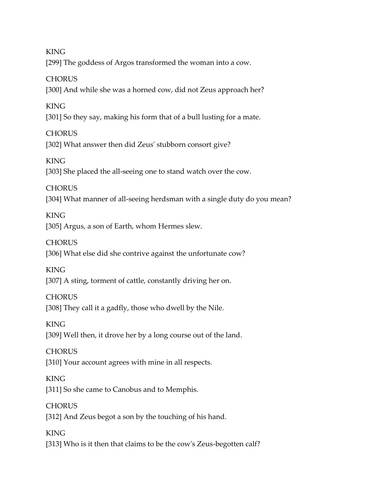KING

[299] The goddess of Argos transformed the woman into a cow.

## **CHORUS**

[300] And while she was a horned cow, did not Zeus approach her?

# **KING**

[301] So they say, making his form that of a bull lusting for a mate.

# **CHORUS**

[302] What answer then did Zeus' stubborn consort give?

# KING

[303] She placed the all-seeing one to stand watch over the cow.

# **CHORUS**

[304] What manner of all-seeing herdsman with a single duty do you mean?

# KING

[305] Argus, a son of Earth, whom Hermes slew.

# **CHORUS**

[306] What else did she contrive against the unfortunate cow?

# KING

[307] A sting, torment of cattle, constantly driving her on.

# **CHORUS**

[308] They call it a gadfly, those who dwell by the Nile.

# KING

[309] Well then, it drove her by a long course out of the land.

# **CHORUS**

[310] Your account agrees with mine in all respects.

# KING

[311] So she came to Canobus and to Memphis.

# **CHORUS**

[312] And Zeus begot a son by the touching of his hand.

# KING [313] Who is it then that claims to be the cow's Zeus-begotten calf?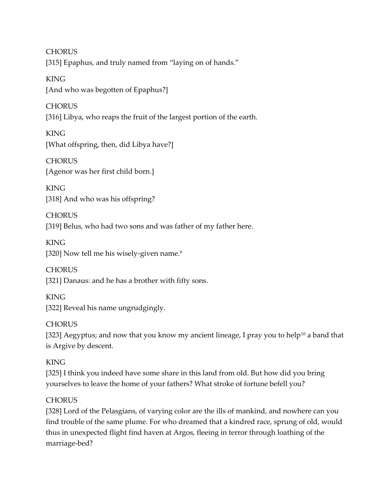**CHORUS** [315] Epaphus, and truly named from "laying on of hands."

**KING** [And who was begotten of Epaphus?]

**CHORUS** [316] Libya, who reaps the fruit of the largest portion of the earth.

KING [What offspring, then, did Libya have?]

**CHORUS** [Agenor was her first child born.]

**KING** [318] And who was his offspring?

**CHORUS** [319] Belus, who had two sons and was father of my father here.

KING [320] Now tell me his wisely-given name.<sup>9</sup>

**CHORUS** [321] Danaus: and he has a brother with fifty sons.

KING [322] Reveal his name ungrudgingly.

# **CHORUS**

[323] Aegyptus; and now that you know my ancient lineage, I pray you to help<sup>10</sup> a band that is Argive by descent.

# KING

[325] I think you indeed have some share in this land from old. But how did you bring yourselves to leave the home of your fathers? What stroke of fortune befell you?

# **CHORUS**

[328] Lord of the Pelasgians, of varying color are the ills of mankind, and nowhere can you find trouble of the same plume. For who dreamed that a kindred race, sprung of old, would thus in unexpected flight find haven at Argos, fleeing in terror through loathing of the marriage-bed?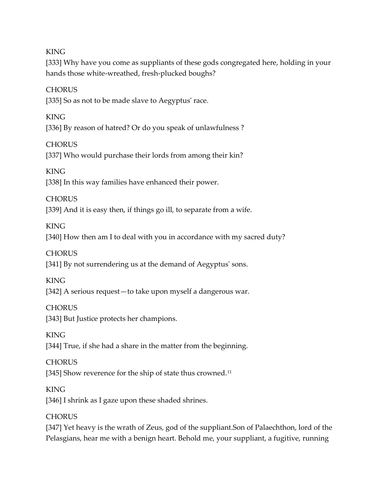KING

[333] Why have you come as suppliants of these gods congregated here, holding in your hands those white-wreathed, fresh-plucked boughs?

# **CHORUS**

[335] So as not to be made slave to Aegyptus' race.

KING [336] By reason of hatred? Or do you speak of unlawfulness ?

## **CHORUS**

[337] Who would purchase their lords from among their kin?

# KING

[338] In this way families have enhanced their power.

# **CHORUS**

[339] And it is easy then, if things go ill, to separate from a wife.

# KING

[340] How then am I to deal with you in accordance with my sacred duty?

# **CHORUS**

[341] By not surrendering us at the demand of Aegyptus' sons.

# KING

[342] A serious request—to take upon myself a dangerous war.

# **CHORUS**

[343] But Justice protects her champions.

# KING

[344] True, if she had a share in the matter from the beginning.

# **CHORUS**

[345] Show reverence for the ship of state thus crowned.<sup>11</sup>

# KING

[346] I shrink as I gaze upon these shaded shrines.

# **CHORUS**

[347] Yet heavy is the wrath of Zeus, god of the suppliant.Son of Palaechthon, lord of the Pelasgians, hear me with a benign heart. Behold me, your suppliant, a fugitive, running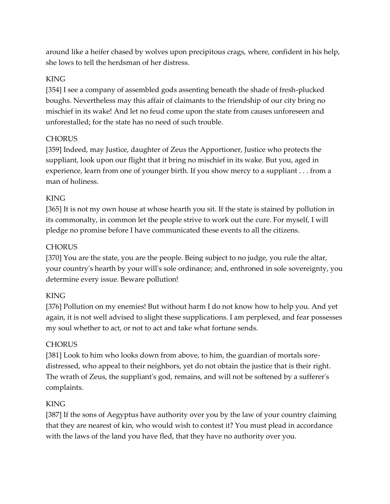around like a heifer chased by wolves upon precipitous crags, where, confident in his help, she lows to tell the herdsman of her distress.

#### **KING**

[354] I see a company of assembled gods assenting beneath the shade of fresh-plucked boughs. Nevertheless may this affair of claimants to the friendship of our city bring no mischief in its wake! And let no feud come upon the state from causes unforeseen and unforestalled; for the state has no need of such trouble.

#### **CHORUS**

[359] Indeed, may Justice, daughter of Zeus the Apportioner, Justice who protects the suppliant, look upon our flight that it bring no mischief in its wake. But you, aged in experience, learn from one of younger birth. If you show mercy to a suppliant . . . from a man of holiness.

## KING

[365] It is not my own house at whose hearth you sit. If the state is stained by pollution in its commonalty, in common let the people strive to work out the cure. For myself, I will pledge no promise before I have communicated these events to all the citizens.

## **CHORUS**

[370] You are the state, you are the people. Being subject to no judge, you rule the altar, your country's hearth by your will's sole ordinance; and, enthroned in sole sovereignty, you determine every issue. Beware pollution!

## KING

[376] Pollution on my enemies! But without harm I do not know how to help you. And yet again, it is not well advised to slight these supplications. I am perplexed, and fear possesses my soul whether to act, or not to act and take what fortune sends.

## **CHORUS**

[381] Look to him who looks down from above, to him, the guardian of mortals sore distressed, who appeal to their neighbors, yet do not obtain the justice that is their right. The wrath of Zeus, the suppliant's god, remains, and will not be softened by a sufferer's complaints.

## KING

[387] If the sons of Aegyptus have authority over you by the law of your country claiming that they are nearest of kin, who would wish to contest it? You must plead in accordance with the laws of the land you have fled, that they have no authority over you.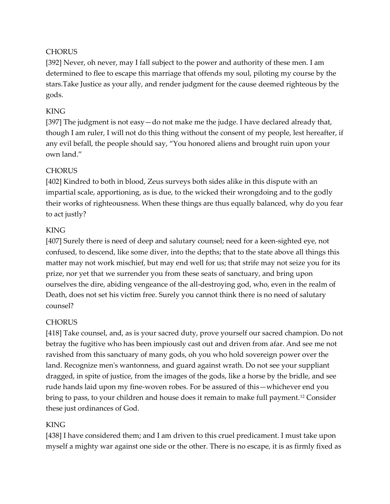## **CHORUS**

[392] Never, oh never, may I fall subject to the power and authority of these men. I am determined to flee to escape this marriage that offends my soul, piloting my course by the stars.Take Justice as your ally, and render judgment for the cause deemed righteous by the gods.

#### KING

[397] The judgment is not easy - do not make me the judge. I have declared already that, though I am ruler, I will not do this thing without the consent of my people, lest hereafter, if any evil befall, the people should say, "You honored aliens and brought ruin upon your own land."

#### **CHORUS**

[402] Kindred to both in blood, Zeus surveys both sides alike in this dispute with an impartial scale, apportioning, as is due, to the wicked their wrongdoing and to the godly their works of righteousness. When these things are thus equally balanced, why do you fear to act justly?

#### **KING**

[407] Surely there is need of deep and salutary counsel; need for a keen-sighted eye, not confused, to descend, like some diver, into the depths; that to the state above all things this matter may not work mischief, but may end well for us; that strife may not seize you for its prize, nor yet that we surrender you from these seats of sanctuary, and bring upon ourselves the dire, abiding vengeance of the all-destroying god, who, even in the realm of Death, does not set his victim free. Surely you cannot think there is no need of salutary counsel?

## **CHORUS**

[418] Take counsel, and, as is your sacred duty, prove yourself our sacred champion. Do not betray the fugitive who has been impiously cast out and driven from afar. And see me not ravished from this sanctuary of many gods, oh you who hold sovereign power over the land. Recognize men's wantonness, and guard against wrath. Do not see your suppliant dragged, in spite of justice, from the images of the gods, like a horse by the bridle, and see rude hands laid upon my fine-woven robes. For be assured of this—whichever end you bring to pass, to your children and house does it remain to make full payment.<sup>12</sup> Consider these just ordinances of God.

#### **KING**

[438] I have considered them; and I am driven to this cruel predicament. I must take upon myself a mighty war against one side or the other. There is no escape, it is as firmly fixed as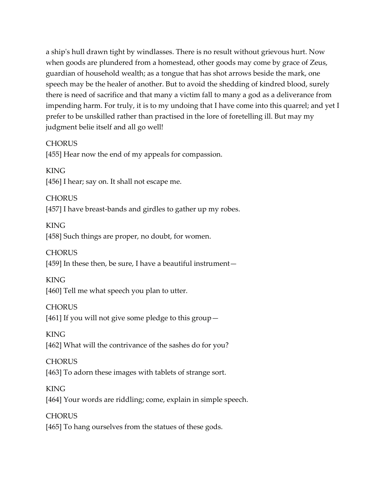a ship's hull drawn tight by windlasses. There is no result without grievous hurt. Now when goods are plundered from a homestead, other goods may come by grace of Zeus, guardian of household wealth; as a tongue that has shot arrows beside the mark, one speech may be the healer of another. But to avoid the shedding of kindred blood, surely there is need of sacrifice and that many a victim fall to many a god as a deliverance from impending harm. For truly, it is to my undoing that I have come into this quarrel; and yet I prefer to be unskilled rather than practised in the lore of foretelling ill. But may my judgment belie itself and all go well!

#### **CHORUS**

[455] Hear now the end of my appeals for compassion.

#### KING

[456] I hear; say on. It shall not escape me.

#### **CHORUS**

[457] I have breast-bands and girdles to gather up my robes.

#### KING

[458] Such things are proper, no doubt, for women.

#### **CHORUS**

[459] In these then, be sure, I have a beautiful instrument—

#### KING

[460] Tell me what speech you plan to utter.

#### **CHORUS**

[461] If you will not give some pledge to this group—

#### KING

[462] What will the contrivance of the sashes do for you?

#### **CHORUS**

[463] To adorn these images with tablets of strange sort.

#### KING

[464] Your words are riddling; come, explain in simple speech.

#### **CHORUS**

[465] To hang ourselves from the statues of these gods.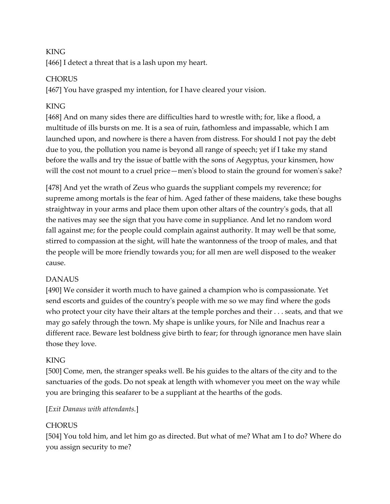# KING

[466] I detect a threat that is a lash upon my heart.

# **CHORUS**

[467] You have grasped my intention, for I have cleared your vision.

# **KING**

[468] And on many sides there are difficulties hard to wrestle with; for, like a flood, a multitude of ills bursts on me. It is a sea of ruin, fathomless and impassable, which I am launched upon, and nowhere is there a haven from distress. For should I not pay the debt due to you, the pollution you name is beyond all range of speech; yet if I take my stand before the walls and try the issue of battle with the sons of Aegyptus, your kinsmen, how will the cost not mount to a cruel price—men's blood to stain the ground for women's sake?

[478] And yet the wrath of Zeus who guards the suppliant compels my reverence; for supreme among mortals is the fear of him. Aged father of these maidens, take these boughs straightway in your arms and place them upon other altars of the country's gods, that all the natives may see the sign that you have come in suppliance. And let no random word fall against me; for the people could complain against authority. It may well be that some, stirred to compassion at the sight, will hate the wantonness of the troop of males, and that the people will be more friendly towards you; for all men are well disposed to the weaker cause.

# DANAUS

[490] We consider it worth much to have gained a champion who is compassionate. Yet send escorts and guides of the country's people with me so we may find where the gods who protect your city have their altars at the temple porches and their . . . seats, and that we may go safely through the town. My shape is unlike yours, for Nile and Inachus rear a different race. Beware lest boldness give birth to fear; for through ignorance men have slain those they love.

# KING

[500] Come, men, the stranger speaks well. Be his guides to the altars of the city and to the sanctuaries of the gods. Do not speak at length with whomever you meet on the way while you are bringing this seafarer to be a suppliant at the hearths of the gods.

## [*Exit Danaus with attendants.*]

# **CHORUS**

[504] You told him, and let him go as directed. But what of me? What am I to do? Where do you assign security to me?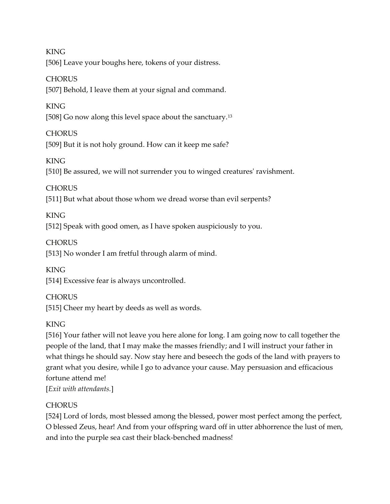KING [506] Leave your boughs here, tokens of your distress.

#### **CHORUS**

[507] Behold, I leave them at your signal and command.

# KING

[508] Go now along this level space about the sanctuary.<sup>13</sup>

# **CHORUS**

[509] But it is not holy ground. How can it keep me safe?

# KING

[510] Be assured, we will not surrender you to winged creatures' ravishment.

# **CHORUS**

[511] But what about those whom we dread worse than evil serpents?

# KING

[512] Speak with good omen, as I have spoken auspiciously to you.

# **CHORUS**

[513] No wonder I am fretful through alarm of mind.

# KING

[514] Excessive fear is always uncontrolled.

# **CHORUS**

[515] Cheer my heart by deeds as well as words.

# KING

[516] Your father will not leave you here alone for long. I am going now to call together the people of the land, that I may make the masses friendly; and I will instruct your father in what things he should say. Now stay here and beseech the gods of the land with prayers to grant what you desire, while I go to advance your cause. May persuasion and efficacious fortune attend me!

[*Exit with attendants.*]

# **CHORUS**

[524] Lord of lords, most blessed among the blessed, power most perfect among the perfect, O blessed Zeus, hear! And from your offspring ward off in utter abhorrence the lust of men, and into the purple sea cast their black-benched madness!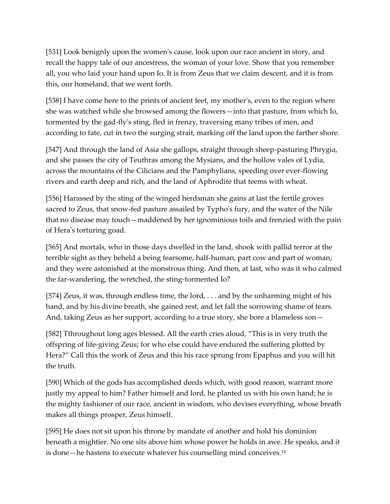[531] Look benignly upon the women's cause, look upon our race ancient in story, and recall the happy tale of our ancestress, the woman of your love. Show that you remember all, you who laid your hand upon Io. It is from Zeus that we claim descent, and it is from this, our homeland, that we went forth.

[538] I have come here to the prints of ancient feet, my mother's, even to the region where she was watched while she browsed among the flowers—into that pasture, from which Io, tormented by the gad-fly's sting, fled in frenzy, traversing many tribes of men, and according to fate, cut in two the surging strait, marking off the land upon the farther shore.

[547] And through the land of Asia she gallops, straight through sheep-pasturing Phrygia, and she passes the city of Teuthras among the Mysians, and the hollow vales of Lydia, across the mountains of the Cilicians and the Pamphylians, speeding over ever-flowing rivers and earth deep and rich, and the land of Aphrodite that teems with wheat.

[556] Harassed by the sting of the winged herdsman she gains at last the fertile groves sacred to Zeus, that snow-fed pasture assailed by Typho's fury, and the water of the Nile that no disease may touch—maddened by her ignominious toils and frenzied with the pain of Hera's torturing goad.

[565] And mortals, who in those days dwelled in the land, shook with pallid terror at the terrible sight as they beheld a being fearsome, half-human, part cow and part of woman; and they were astonished at the monstrous thing. And then, at last, who was it who calmed the far-wandering, the wretched, the sting-tormented Io?

[574] Zeus, it was, through endless time, the lord, . . . and by the unharming might of his hand, and by his divine breath, she gained rest, and let fall the sorrowing shame of tears. And, taking Zeus as her support, according to a true story, she bore a blameless son—

[582] Tthroughout long ages blessed. All the earth cries aloud, "This is in very truth the offspring of life-giving Zeus; for who else could have endured the suffering plotted by Hera?" Call this the work of Zeus and this his race sprung from Epaphus and you will hit the truth.

[590] Which of the gods has accomplished deeds which, with good reason, warrant more justly my appeal to him? Father himself and lord, he planted us with his own hand; he is the mighty fashioner of our race, ancient in wisdom, who devises everything, whose breath makes all things prosper, Zeus himself.

[595] He does not sit upon his throne by mandate of another and hold his dominion beneath a mightier. No one sits above him whose power he holds in awe. He speaks, and it is done—he hastens to execute whatever his counselling mind conceives.14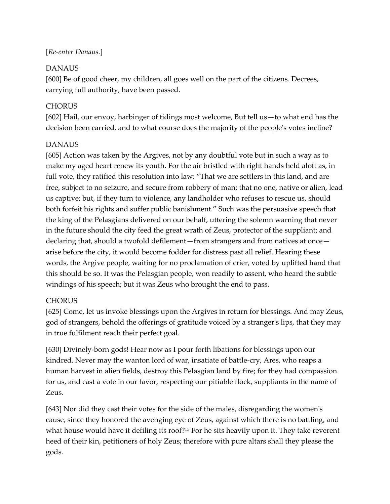# [*Re-enter Danaus.*]

# DANAUS

[600] Be of good cheer, my children, all goes well on the part of the citizens. Decrees, carrying full authority, have been passed.

# **CHORUS**

[602] Hail, our envoy, harbinger of tidings most welcome, But tell us—to what end has the decision been carried, and to what course does the majority of the people's votes incline?

## DANAUS

[605] Action was taken by the Argives, not by any doubtful vote but in such a way as to make my aged heart renew its youth. For the air bristled with right hands held aloft as, in full vote, they ratified this resolution into law: "That we are settlers in this land, and are free, subject to no seizure, and secure from robbery of man; that no one, native or alien, lead us captive; but, if they turn to violence, any landholder who refuses to rescue us, should both forfeit his rights and suffer public banishment." Such was the persuasive speech that the king of the Pelasgians delivered on our behalf, uttering the solemn warning that never in the future should the city feed the great wrath of Zeus, protector of the suppliant; and declaring that, should a twofold defilement—from strangers and from natives at once arise before the city, it would become fodder for distress past all relief. Hearing these words, the Argive people, waiting for no proclamation of crier, voted by uplifted hand that this should be so. It was the Pelasgian people, won readily to assent, who heard the subtle windings of his speech; but it was Zeus who brought the end to pass.

# **CHORUS**

[625] Come, let us invoke blessings upon the Argives in return for blessings. And may Zeus, god of strangers, behold the offerings of gratitude voiced by a stranger's lips, that they may in true fulfilment reach their perfect goal.

[630] Divinely-born gods! Hear now as I pour forth libations for blessings upon our kindred. Never may the wanton lord of war, insatiate of battle-cry, Ares, who reaps a human harvest in alien fields, destroy this Pelasgian land by fire; for they had compassion for us, and cast a vote in our favor, respecting our pitiable flock, suppliants in the name of Zeus.

[643] Nor did they cast their votes for the side of the males, disregarding the women's cause, since they honored the avenging eye of Zeus, against which there is no battling, and what house would have it defiling its roof?<sup>15</sup> For he sits heavily upon it. They take reverent heed of their kin, petitioners of holy Zeus; therefore with pure altars shall they please the gods.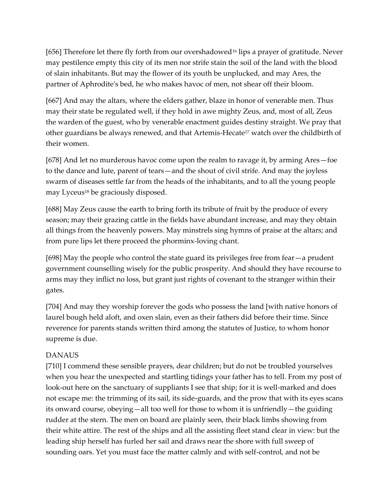[656] Therefore let there fly forth from our overshadowed<sup>16</sup> lips a prayer of gratitude. Never may pestilence empty this city of its men nor strife stain the soil of the land with the blood of slain inhabitants. But may the flower of its youth be unplucked, and may Ares, the partner of Aphrodite's bed, he who makes havoc of men, not shear off their bloom.

[667] And may the altars, where the elders gather, blaze in honor of venerable men. Thus may their state be regulated well, if they hold in awe mighty Zeus, and, most of all, Zeus the warden of the guest, who by venerable enactment guides destiny straight. We pray that other guardians be always renewed, and that Artemis-Hecate<sup>17</sup> watch over the childbirth of their women.

[678] And let no murderous havoc come upon the realm to ravage it, by arming Ares—foe to the dance and lute, parent of tears—and the shout of civil strife. And may the joyless swarm of diseases settle far from the heads of the inhabitants, and to all the young people may Lyceus<sup>18</sup> be graciously disposed.

[688] May Zeus cause the earth to bring forth its tribute of fruit by the produce of every season; may their grazing cattle in the fields have abundant increase, and may they obtain all things from the heavenly powers. May minstrels sing hymns of praise at the altars; and from pure lips let there proceed the phorminx-loving chant.

[698] May the people who control the state guard its privileges free from fear—a prudent government counselling wisely for the public prosperity. And should they have recourse to arms may they inflict no loss, but grant just rights of covenant to the stranger within their gates.

[704] And may they worship forever the gods who possess the land [with native honors of laurel bough held aloft, and oxen slain, even as their fathers did before their time. Since reverence for parents stands written third among the statutes of Justice, to whom honor supreme is due.

## DANAUS

[710] I commend these sensible prayers, dear children; but do not be troubled yourselves when you hear the unexpected and startling tidings your father has to tell. From my post of look-out here on the sanctuary of suppliants I see that ship; for it is well-marked and does not escape me: the trimming of its sail, its side-guards, and the prow that with its eyes scans its onward course, obeying—all too well for those to whom it is unfriendly—the guiding rudder at the stern. The men on board are plainly seen, their black limbs showing from their white attire. The rest of the ships and all the assisting fleet stand clear in view: but the leading ship herself has furled her sail and draws near the shore with full sweep of sounding oars. Yet you must face the matter calmly and with self-control, and not be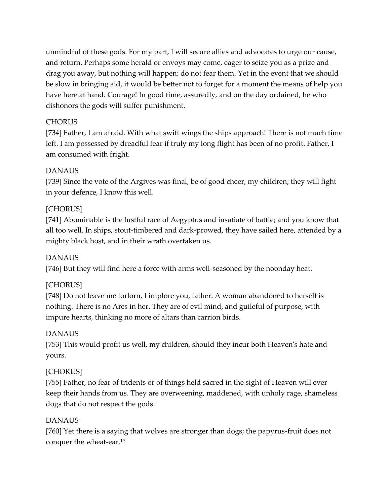unmindful of these gods. For my part, I will secure allies and advocates to urge our cause, and return. Perhaps some herald or envoys may come, eager to seize you as a prize and drag you away, but nothing will happen: do not fear them. Yet in the event that we should be slow in bringing aid, it would be better not to forget for a moment the means of help you have here at hand. Courage! In good time, assuredly, and on the day ordained, he who dishonors the gods will suffer punishment.

#### **CHORUS**

[734] Father, I am afraid. With what swift wings the ships approach! There is not much time left. I am possessed by dreadful fear if truly my long flight has been of no profit. Father, I am consumed with fright.

#### DANAUS

[739] Since the vote of the Argives was final, be of good cheer, my children; they will fight in your defence, I know this well.

#### [CHORUS]

[741] Abominable is the lustful race of Aegyptus and insatiate of battle; and you know that all too well. In ships, stout-timbered and dark-prowed, they have sailed here, attended by a mighty black host, and in their wrath overtaken us.

## DANAUS

[746] But they will find here a force with arms well-seasoned by the noonday heat.

#### [CHORUS]

[748] Do not leave me forlorn, I implore you, father. A woman abandoned to herself is nothing. There is no Ares in her. They are of evil mind, and guileful of purpose, with impure hearts, thinking no more of altars than carrion birds.

## DANAUS

[753] This would profit us well, my children, should they incur both Heaven's hate and yours.

## [CHORUS]

[755] Father, no fear of tridents or of things held sacred in the sight of Heaven will ever keep their hands from us. They are overweening, maddened, with unholy rage, shameless dogs that do not respect the gods.

#### DANAUS

[760] Yet there is a saying that wolves are stronger than dogs; the papyrus-fruit does not conquer the wheat-ear.19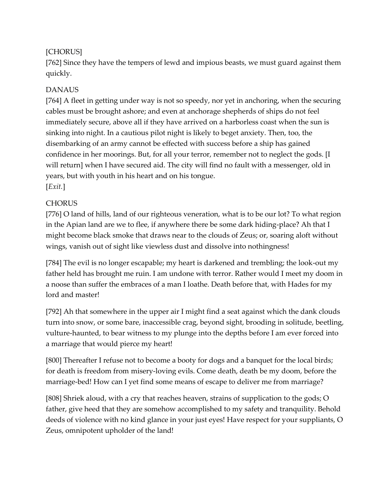# [CHORUS]

[762] Since they have the tempers of lewd and impious beasts, we must guard against them quickly.

# DANAUS

[764] A fleet in getting under way is not so speedy, nor yet in anchoring, when the securing cables must be brought ashore; and even at anchorage shepherds of ships do not feel immediately secure, above all if they have arrived on a harborless coast when the sun is sinking into night. In a cautious pilot night is likely to beget anxiety. Then, too, the disembarking of an army cannot be effected with success before a ship has gained confidence in her moorings. But, for all your terror, remember not to neglect the gods. [I will return] when I have secured aid. The city will find no fault with a messenger, old in years, but with youth in his heart and on his tongue. [*Exit.*]

# **CHORUS**

[776] O land of hills, land of our righteous veneration, what is to be our lot? To what region in the Apian land are we to flee, if anywhere there be some dark hiding-place? Ah that I might become black smoke that draws near to the clouds of Zeus; or, soaring aloft without wings, vanish out of sight like viewless dust and dissolve into nothingness!

[784] The evil is no longer escapable; my heart is darkened and trembling; the look-out my father held has brought me ruin. I am undone with terror. Rather would I meet my doom in a noose than suffer the embraces of a man I loathe. Death before that, with Hades for my lord and master!

[792] Ah that somewhere in the upper air I might find a seat against which the dank clouds turn into snow, or some bare, inaccessible crag, beyond sight, brooding in solitude, beetling, vulture-haunted, to bear witness to my plunge into the depths before I am ever forced into a marriage that would pierce my heart!

[800] Thereafter I refuse not to become a booty for dogs and a banquet for the local birds; for death is freedom from misery-loving evils. Come death, death be my doom, before the marriage-bed! How can I yet find some means of escape to deliver me from marriage?

[808] Shriek aloud, with a cry that reaches heaven, strains of supplication to the gods; O father, give heed that they are somehow accomplished to my safety and tranquility. Behold deeds of violence with no kind glance in your just eyes! Have respect for your suppliants, O Zeus, omnipotent upholder of the land!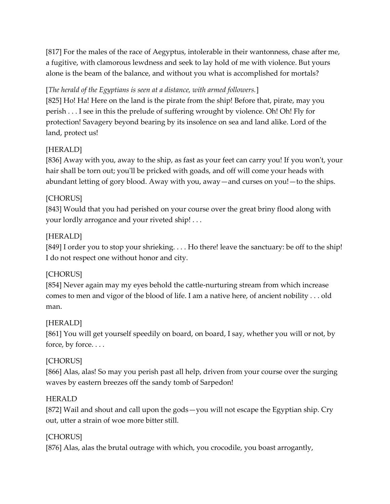[817] For the males of the race of Aegyptus, intolerable in their wantonness, chase after me, a fugitive, with clamorous lewdness and seek to lay hold of me with violence. But yours alone is the beam of the balance, and without you what is accomplished for mortals?

# [*The herald of the Egyptians is seen at a distance, with armed followers.*]

[825] Ho! Ha! Here on the land is the pirate from the ship! Before that, pirate, may you perish . . . I see in this the prelude of suffering wrought by violence. Oh! Oh! Fly for protection! Savagery beyond bearing by its insolence on sea and land alike. Lord of the land, protect us!

# [HERALD]

[836] Away with you, away to the ship, as fast as your feet can carry you! If you won't, your hair shall be torn out; you'll be pricked with goads, and off will come your heads with abundant letting of gory blood. Away with you, away—and curses on you!—to the ships.

# [CHORUS]

[843] Would that you had perished on your course over the great briny flood along with your lordly arrogance and your riveted ship! . . .

# [HERALD]

[849] I order you to stop your shrieking. . . . Ho there! leave the sanctuary: be off to the ship! I do not respect one without honor and city.

# [CHORUS]

[854] Never again may my eyes behold the cattle-nurturing stream from which increase comes to men and vigor of the blood of life. I am a native here, of ancient nobility . . . old man.

## [HERALD]

[861] You will get yourself speedily on board, on board, I say, whether you will or not, by force, by force. . . .

# [CHORUS]

[866] Alas, alas! So may you perish past all help, driven from your course over the surging waves by eastern breezes off the sandy tomb of Sarpedon!

## HERALD

[872] Wail and shout and call upon the gods—you will not escape the Egyptian ship. Cry out, utter a strain of woe more bitter still.

## [CHORUS]

[876] Alas, alas the brutal outrage with which, you crocodile, you boast arrogantly,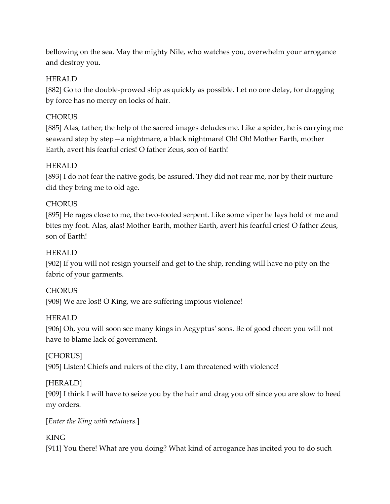bellowing on the sea. May the mighty Nile, who watches you, overwhelm your arrogance and destroy you.

#### HERALD

[882] Go to the double-prowed ship as quickly as possible. Let no one delay, for dragging by force has no mercy on locks of hair.

#### **CHORUS**

[885] Alas, father; the help of the sacred images deludes me. Like a spider, he is carrying me seaward step by step—a nightmare, a black nightmare! Oh! Oh! Mother Earth, mother Earth, avert his fearful cries! O father Zeus, son of Earth!

#### HERALD

[893] I do not fear the native gods, be assured. They did not rear me, nor by their nurture did they bring me to old age.

#### **CHORUS**

[895] He rages close to me, the two-footed serpent. Like some viper he lays hold of me and bites my foot. Alas, alas! Mother Earth, mother Earth, avert his fearful cries! O father Zeus, son of Earth!

#### HERALD

[902] If you will not resign yourself and get to the ship, rending will have no pity on the fabric of your garments.

## **CHORUS**

[908] We are lost! O King, we are suffering impious violence!

#### HERALD

[906] Oh, you will soon see many kings in Aegyptus' sons. Be of good cheer: you will not have to blame lack of government.

#### [CHORUS]

[905] Listen! Chiefs and rulers of the city, I am threatened with violence!

## [HERALD]

[909] I think I will have to seize you by the hair and drag you off since you are slow to heed my orders.

#### [*Enter the King with retainers.*]

## KING

[911] You there! What are you doing? What kind of arrogance has incited you to do such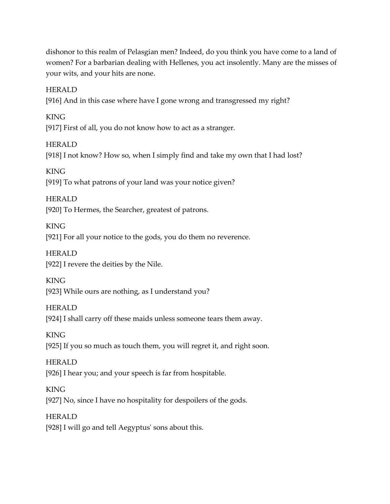dishonor to this realm of Pelasgian men? Indeed, do you think you have come to a land of women? For a barbarian dealing with Hellenes, you act insolently. Many are the misses of your wits, and your hits are none.

HERALD

[916] And in this case where have I gone wrong and transgressed my right?

KING [917] First of all, you do not know how to act as a stranger.

HERALD [918] I not know? How so, when I simply find and take my own that I had lost?

KING [919] To what patrons of your land was your notice given?

HERALD [920] To Hermes, the Searcher, greatest of patrons.

KING [921] For all your notice to the gods, you do them no reverence.

HERALD [922] I revere the deities by the Nile.

KING [923] While ours are nothing, as I understand you?

**HERALD** [924] I shall carry off these maids unless someone tears them away.

KING [925] If you so much as touch them, you will regret it, and right soon.

HERALD [926] I hear you; and your speech is far from hospitable.

KING [927] No, since I have no hospitality for despoilers of the gods.

HERALD [928] I will go and tell Aegyptus' sons about this.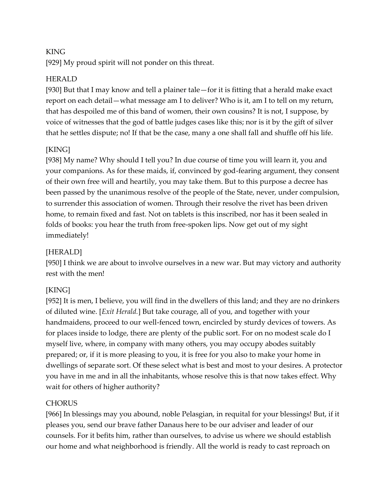## KING

[929] My proud spirit will not ponder on this threat.

#### HERALD

[930] But that I may know and tell a plainer tale—for it is fitting that a herald make exact report on each detail—what message am I to deliver? Who is it, am I to tell on my return, that has despoiled me of this band of women, their own cousins? It is not, I suppose, by voice of witnesses that the god of battle judges cases like this; nor is it by the gift of silver that he settles dispute; no! If that be the case, many a one shall fall and shuffle off his life.

## [KING]

[938] My name? Why should I tell you? In due course of time you will learn it, you and your companions. As for these maids, if, convinced by god-fearing argument, they consent of their own free will and heartily, you may take them. But to this purpose a decree has been passed by the unanimous resolve of the people of the State, never, under compulsion, to surrender this association of women. Through their resolve the rivet has been driven home, to remain fixed and fast. Not on tablets is this inscribed, nor has it been sealed in folds of books: you hear the truth from free-spoken lips. Now get out of my sight immediately!

## [HERALD]

[950] I think we are about to involve ourselves in a new war. But may victory and authority rest with the men!

## [KING]

[952] It is men, I believe, you will find in the dwellers of this land; and they are no drinkers of diluted wine. [*Exit Herald.*] But take courage, all of you, and together with your handmaidens, proceed to our well-fenced town, encircled by sturdy devices of towers. As for places inside to lodge, there are plenty of the public sort. For on no modest scale do I myself live, where, in company with many others, you may occupy abodes suitably prepared; or, if it is more pleasing to you, it is free for you also to make your home in dwellings of separate sort. Of these select what is best and most to your desires. A protector you have in me and in all the inhabitants, whose resolve this is that now takes effect. Why wait for others of higher authority?

#### **CHORUS**

[966] In blessings may you abound, noble Pelasgian, in requital for your blessings! But, if it pleases you, send our brave father Danaus here to be our adviser and leader of our counsels. For it befits him, rather than ourselves, to advise us where we should establish our home and what neighborhood is friendly. All the world is ready to cast reproach on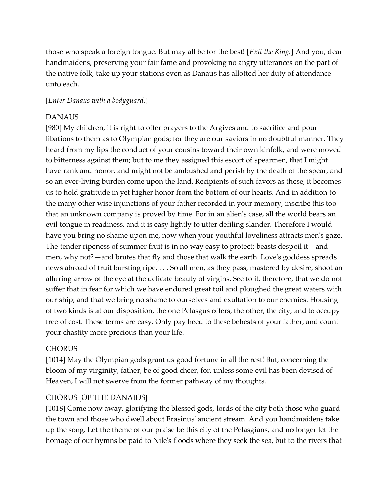those who speak a foreign tongue. But may all be for the best! [*Exit the King.*] And you, dear handmaidens, preserving your fair fame and provoking no angry utterances on the part of the native folk, take up your stations even as Danaus has allotted her duty of attendance unto each.

#### [*Enter Danaus with a bodyguard.*]

#### DANAUS

[980] My children, it is right to offer prayers to the Argives and to sacrifice and pour libations to them as to Olympian gods; for they are our saviors in no doubtful manner. They heard from my lips the conduct of your cousins toward their own kinfolk, and were moved to bitterness against them; but to me they assigned this escort of spearmen, that I might have rank and honor, and might not be ambushed and perish by the death of the spear, and so an ever-living burden come upon the land. Recipients of such favors as these, it becomes us to hold gratitude in yet higher honor from the bottom of our hearts. And in addition to the many other wise injunctions of your father recorded in your memory, inscribe this too that an unknown company is proved by time. For in an alien's case, all the world bears an evil tongue in readiness, and it is easy lightly to utter defiling slander. Therefore I would have you bring no shame upon me, now when your youthful loveliness attracts men's gaze. The tender ripeness of summer fruit is in no way easy to protect; beasts despoil it—and men, why not?—and brutes that fly and those that walk the earth. Love's goddess spreads news abroad of fruit bursting ripe. . . . So all men, as they pass, mastered by desire, shoot an alluring arrow of the eye at the delicate beauty of virgins. See to it, therefore, that we do not suffer that in fear for which we have endured great toil and ploughed the great waters with our ship; and that we bring no shame to ourselves and exultation to our enemies. Housing of two kinds is at our disposition, the one Pelasgus offers, the other, the city, and to occupy free of cost. These terms are easy. Only pay heed to these behests of your father, and count your chastity more precious than your life.

#### **CHORUS**

[1014] May the Olympian gods grant us good fortune in all the rest! But, concerning the bloom of my virginity, father, be of good cheer, for, unless some evil has been devised of Heaven, I will not swerve from the former pathway of my thoughts.

#### CHORUS [OF THE DANAIDS]

[1018] Come now away, glorifying the blessed gods, lords of the city both those who guard the town and those who dwell about Erasinus' ancient stream. And you handmaidens take up the song. Let the theme of our praise be this city of the Pelasgians, and no longer let the homage of our hymns be paid to Nile's floods where they seek the sea, but to the rivers that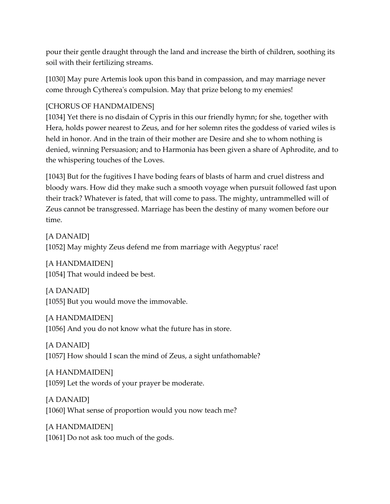pour their gentle draught through the land and increase the birth of children, soothing its soil with their fertilizing streams.

[1030] May pure Artemis look upon this band in compassion, and may marriage never come through Cytherea's compulsion. May that prize belong to my enemies!

#### [CHORUS OF HANDMAIDENS]

[1034] Yet there is no disdain of Cypris in this our friendly hymn; for she, together with Hera, holds power nearest to Zeus, and for her solemn rites the goddess of varied wiles is held in honor. And in the train of their mother are Desire and she to whom nothing is denied, winning Persuasion; and to Harmonia has been given a share of Aphrodite, and to the whispering touches of the Loves.

[1043] But for the fugitives I have boding fears of blasts of harm and cruel distress and bloody wars. How did they make such a smooth voyage when pursuit followed fast upon their track? Whatever is fated, that will come to pass. The mighty, untrammelled will of Zeus cannot be transgressed. Marriage has been the destiny of many women before our time.

[A DANAID] [1052] May mighty Zeus defend me from marriage with Aegyptus' race!

[A HANDMAIDEN] [1054] That would indeed be best.

[A DANAID] [1055] But you would move the immovable.

[A HANDMAIDEN] [1056] And you do not know what the future has in store.

[A DANAID] [1057] How should I scan the mind of Zeus, a sight unfathomable?

[A HANDMAIDEN] [1059] Let the words of your prayer be moderate.

[A DANAID] [1060] What sense of proportion would you now teach me?

[A HANDMAIDEN] [1061] Do not ask too much of the gods.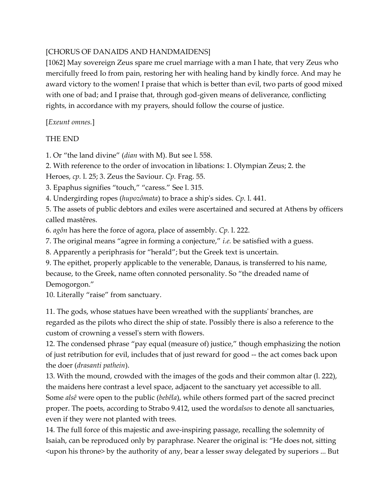## [CHORUS OF DANAIDS AND HANDMAIDENS]

[1062] May sovereign Zeus spare me cruel marriage with a man I hate, that very Zeus who mercifully freed Io from pain, restoring her with healing hand by kindly force. And may he award victory to the women! I praise that which is better than evil, two parts of good mixed with one of bad; and I praise that, through god-given means of deliverance, conflicting rights, in accordance with my prayers, should follow the course of justice.

[*Exeunt omnes.*]

#### THE END

1. Or "the land divine" (*dian* with M). But see l. 558.

2. With reference to the order of invocation in libations: 1. Olympian Zeus; 2. the

Heroes, *cp.* l. 25; 3. Zeus the Saviour. *Cp.* Frag. 55.

3. Epaphus signifies "touch," "caress." See l. 315.

4. Undergirding ropes (*hupozômata*) to brace a ship's sides. *Cp.* l. 441.

5. The assets of public debtors and exiles were ascertained and secured at Athens by officers called mastêres.

6. *agôn* has here the force of agora, place of assembly. *Cp.* l. 222.

7. The original means "agree in forming a conjecture," *i.e.* be satisfied with a guess.

8. Apparently a periphrasis for "herald"; but the Greek text is uncertain.

9. The epithet, properly applicable to the venerable, Danaus, is transferred to his name, because, to the Greek, name often connoted personality. So "the dreaded name of Demogorgon."

10. Literally "raise" from sanctuary.

11. The gods, whose statues have been wreathed with the suppliants' branches, are regarded as the pilots who direct the ship of state. Possibly there is also a reference to the custom of crowning a vessel's stern with flowers.

12. The condensed phrase "pay equal (measure of) justice," though emphasizing the notion of just retribution for evil, includes that of just reward for good -- the act comes back upon the doer (*drasanti pathein*).

13. With the mound, crowded with the images of the gods and their common altar (l. 222), the maidens here contrast a level space, adjacent to the sanctuary yet accessible to all. Some *alsê* were open to the public (*bebêla*), while others formed part of the sacred precinct proper. The poets, according to Strabo 9.412, used the word*alsos* to denote all sanctuaries, even if they were not planted with trees.

14. The full force of this majestic and awe-inspiring passage, recalling the solemnity of Isaiah, can be reproduced only by paraphrase. Nearer the original is: "He does not, sitting <upon his throne> by the authority of any, bear a lesser sway delegated by superiors ... But